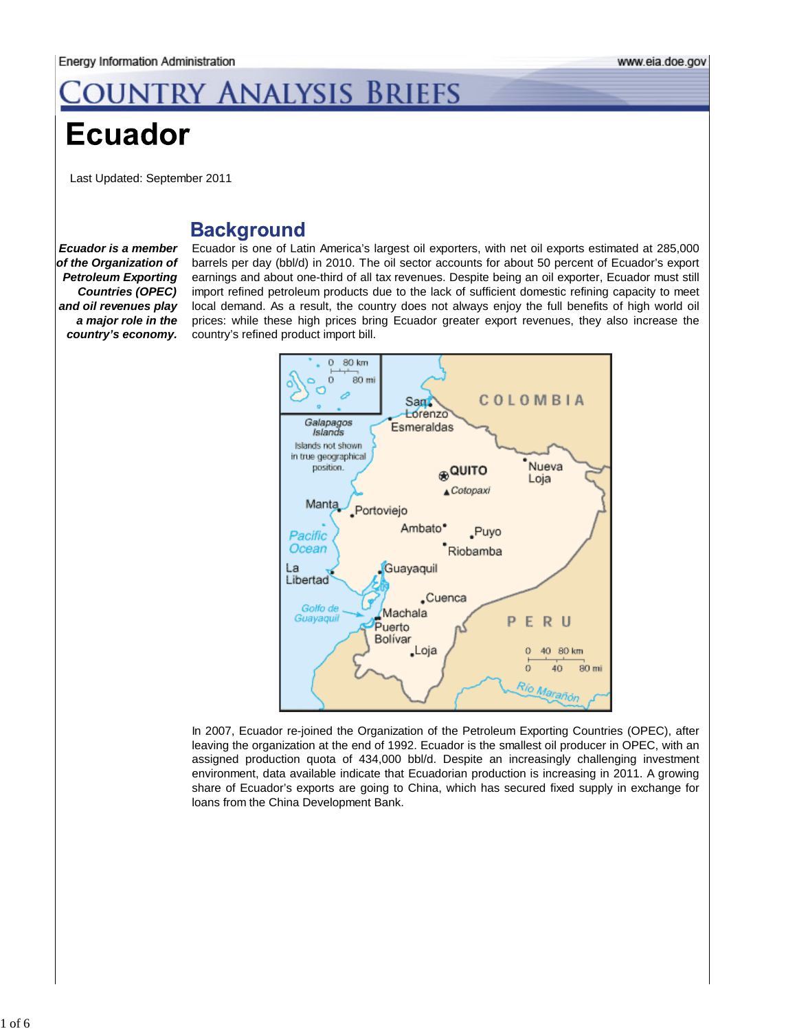# OUNTRY ANALYSIS BRIEFS

## **Ecuador**

Last Updated: September 2011

### **Background**

*Ecuador is a member of the Organization of Petroleum Exporting Countries (OPEC) and oil revenues play a major role in the country's economy.*

Ecuador is one of Latin America's largest oil exporters, with net oil exports estimated at 285,000 barrels per day (bbl/d) in 2010. The oil sector accounts for about 50 percent of Ecuador's export earnings and about one-third of all tax revenues. Despite being an oil exporter, Ecuador must still import refined petroleum products due to the lack of sufficient domestic refining capacity to meet local demand. As a result, the country does not always enjoy the full benefits of high world oil prices: while these high prices bring Ecuador greater export revenues, they also increase the country's refined product import bill.



In 2007, Ecuador re-joined the Organization of the Petroleum Exporting Countries (OPEC), after leaving the organization at the end of 1992. Ecuador is the smallest oil producer in OPEC, with an assigned production quota of 434,000 bbl/d. Despite an increasingly challenging investment environment, data available indicate that Ecuadorian production is increasing in 2011. A growing share of Ecuador's exports are going to China, which has secured fixed supply in exchange for loans from the China Development Bank.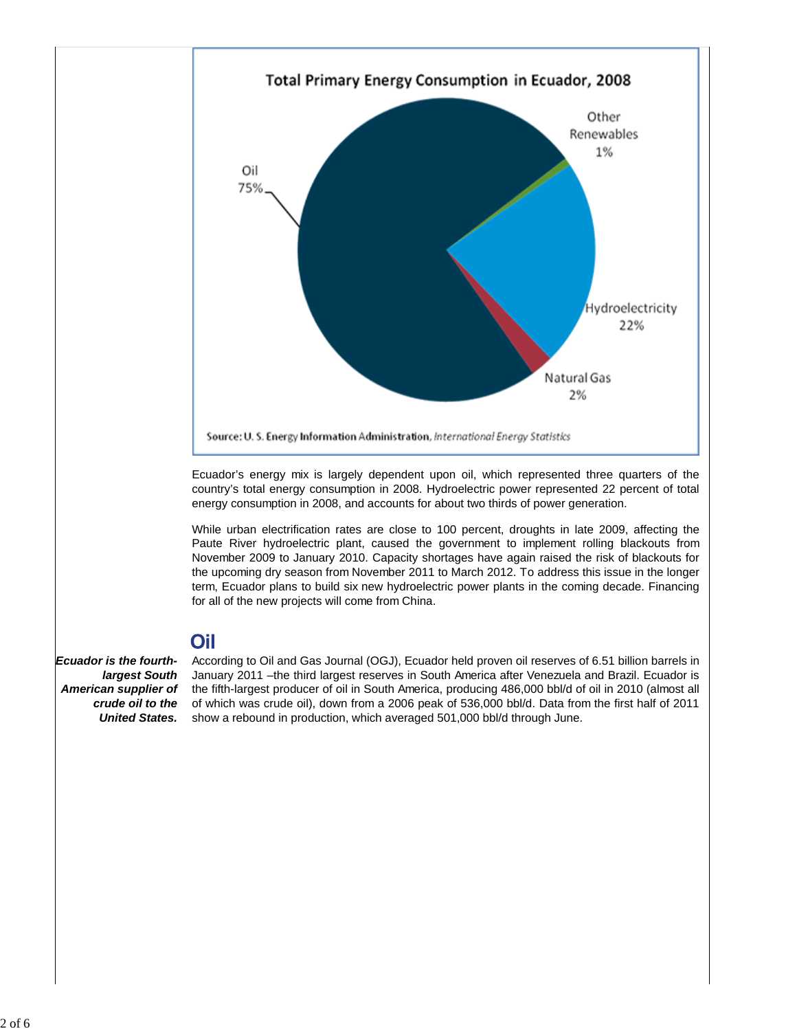

Ecuador's energy mix is largely dependent upon oil, which represented three quarters of the country's total energy consumption in 2008. Hydroelectric power represented 22 percent of total energy consumption in 2008, and accounts for about two thirds of power generation.

While urban electrification rates are close to 100 percent, droughts in late 2009, affecting the Paute River hydroelectric plant, caused the government to implement rolling blackouts from November 2009 to January 2010. Capacity shortages have again raised the risk of blackouts for the upcoming dry season from November 2011 to March 2012. To address this issue in the longer term, Ecuador plans to build six new hydroelectric power plants in the coming decade. Financing for all of the new projects will come from China.

### Oil

*Ecuador is the fourthlargest South American supplier of crude oil to the*

**United States.** show a rebound in production, which averaged 501,000 bbl/d through June. According to Oil and Gas Journal (OGJ), Ecuador held proven oil reserves of 6.51 billion barrels in January 2011 –the third largest reserves in South America after Venezuela and Brazil. Ecuador is the fifth-largest producer of oil in South America, producing 486,000 bbl/d of oil in 2010 (almost all of which was crude oil), down from a 2006 peak of 536,000 bbl/d. Data from the first half of 2011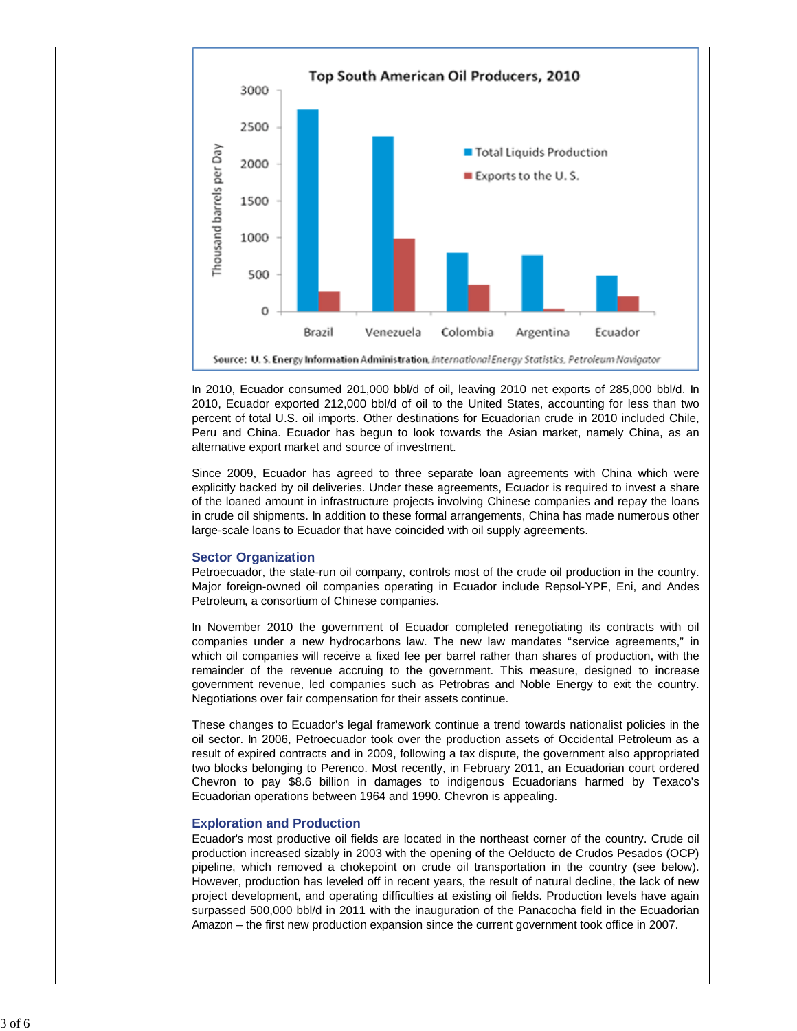

In 2010, Ecuador consumed 201,000 bbl/d of oil, leaving 2010 net exports of 285,000 bbl/d. In 2010, Ecuador exported 212,000 bbl/d of oil to the United States, accounting for less than two percent of total U.S. oil imports. Other destinations for Ecuadorian crude in 2010 included Chile, Peru and China. Ecuador has begun to look towards the Asian market, namely China, as an alternative export market and source of investment.

Since 2009, Ecuador has agreed to three separate loan agreements with China which were explicitly backed by oil deliveries. Under these agreements, Ecuador is required to invest a share of the loaned amount in infrastructure projects involving Chinese companies and repay the loans in crude oil shipments. In addition to these formal arrangements, China has made numerous other large-scale loans to Ecuador that have coincided with oil supply agreements.

#### **Sector Organization**

Petroecuador, the state-run oil company, controls most of the crude oil production in the country. Major foreign-owned oil companies operating in Ecuador include Repsol-YPF, Eni, and Andes Petroleum, a consortium of Chinese companies.

In November 2010 the government of Ecuador completed renegotiating its contracts with oil companies under a new hydrocarbons law. The new law mandates "service agreements," in which oil companies will receive a fixed fee per barrel rather than shares of production, with the remainder of the revenue accruing to the government. This measure, designed to increase government revenue, led companies such as Petrobras and Noble Energy to exit the country. Negotiations over fair compensation for their assets continue.

These changes to Ecuador's legal framework continue a trend towards nationalist policies in the oil sector. In 2006, Petroecuador took over the production assets of Occidental Petroleum as a result of expired contracts and in 2009, following a tax dispute, the government also appropriated two blocks belonging to Perenco. Most recently, in February 2011, an Ecuadorian court ordered Chevron to pay \$8.6 billion in damages to indigenous Ecuadorians harmed by Texaco's Ecuadorian operations between 1964 and 1990. Chevron is appealing.

#### **Exploration and Production**

Ecuador's most productive oil fields are located in the northeast corner of the country. Crude oil production increased sizably in 2003 with the opening of the Oelducto de Crudos Pesados (OCP) pipeline, which removed a chokepoint on crude oil transportation in the country (see below). However, production has leveled off in recent years, the result of natural decline, the lack of new project development, and operating difficulties at existing oil fields. Production levels have again surpassed 500,000 bbl/d in 2011 with the inauguration of the Panacocha field in the Ecuadorian Amazon – the first new production expansion since the current government took office in 2007.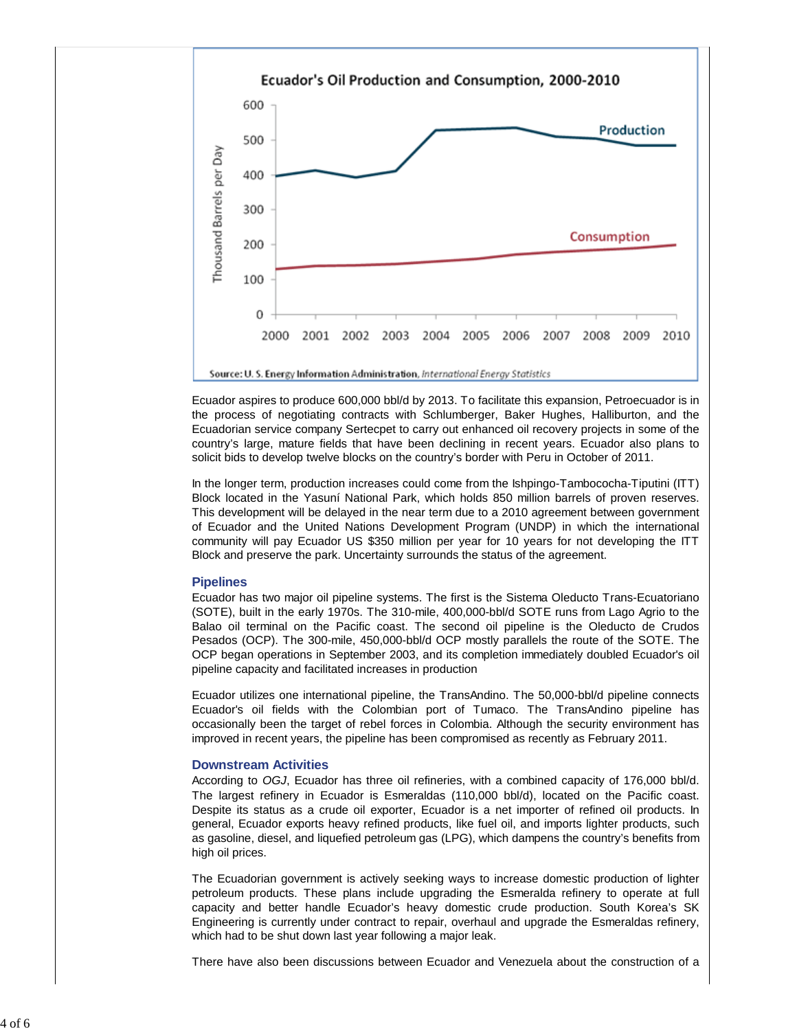

Ecuador aspires to produce 600,000 bbl/d by 2013. To facilitate this expansion, Petroecuador is in the process of negotiating contracts with Schlumberger, Baker Hughes, Halliburton, and the Ecuadorian service company Sertecpet to carry out enhanced oil recovery projects in some of the country's large, mature fields that have been declining in recent years. Ecuador also plans to solicit bids to develop twelve blocks on the country's border with Peru in October of 2011.

In the longer term, production increases could come from the Ishpingo-Tambococha-Tiputini (ITT) Block located in the Yasuní National Park, which holds 850 million barrels of proven reserves. This development will be delayed in the near term due to a 2010 agreement between government of Ecuador and the United Nations Development Program (UNDP) in which the international community will pay Ecuador US \$350 million per year for 10 years for not developing the ITT Block and preserve the park. Uncertainty surrounds the status of the agreement.

#### **Pipelines**

Ecuador has two major oil pipeline systems. The first is the Sistema Oleducto Trans-Ecuatoriano (SOTE), built in the early 1970s. The 310-mile, 400,000-bbl/d SOTE runs from Lago Agrio to the Balao oil terminal on the Pacific coast. The second oil pipeline is the Oleducto de Crudos Pesados (OCP). The 300-mile, 450,000-bbl/d OCP mostly parallels the route of the SOTE. The OCP began operations in September 2003, and its completion immediately doubled Ecuador's oil pipeline capacity and facilitated increases in production

Ecuador utilizes one international pipeline, the TransAndino. The 50,000-bbl/d pipeline connects Ecuador's oil fields with the Colombian port of Tumaco. The TransAndino pipeline has occasionally been the target of rebel forces in Colombia. Although the security environment has improved in recent years, the pipeline has been compromised as recently as February 2011.

#### **Downstream Activities**

According to *OGJ*, Ecuador has three oil refineries, with a combined capacity of 176,000 bbl/d. The largest refinery in Ecuador is Esmeraldas (110,000 bbl/d), located on the Pacific coast. Despite its status as a crude oil exporter, Ecuador is a net importer of refined oil products. In general, Ecuador exports heavy refined products, like fuel oil, and imports lighter products, such as gasoline, diesel, and liquefied petroleum gas (LPG), which dampens the country's benefits from high oil prices.

The Ecuadorian government is actively seeking ways to increase domestic production of lighter petroleum products. These plans include upgrading the Esmeralda refinery to operate at full capacity and better handle Ecuador's heavy domestic crude production. South Korea's SK Engineering is currently under contract to repair, overhaul and upgrade the Esmeraldas refinery, which had to be shut down last year following a major leak.

There have also been discussions between Ecuador and Venezuela about the construction of a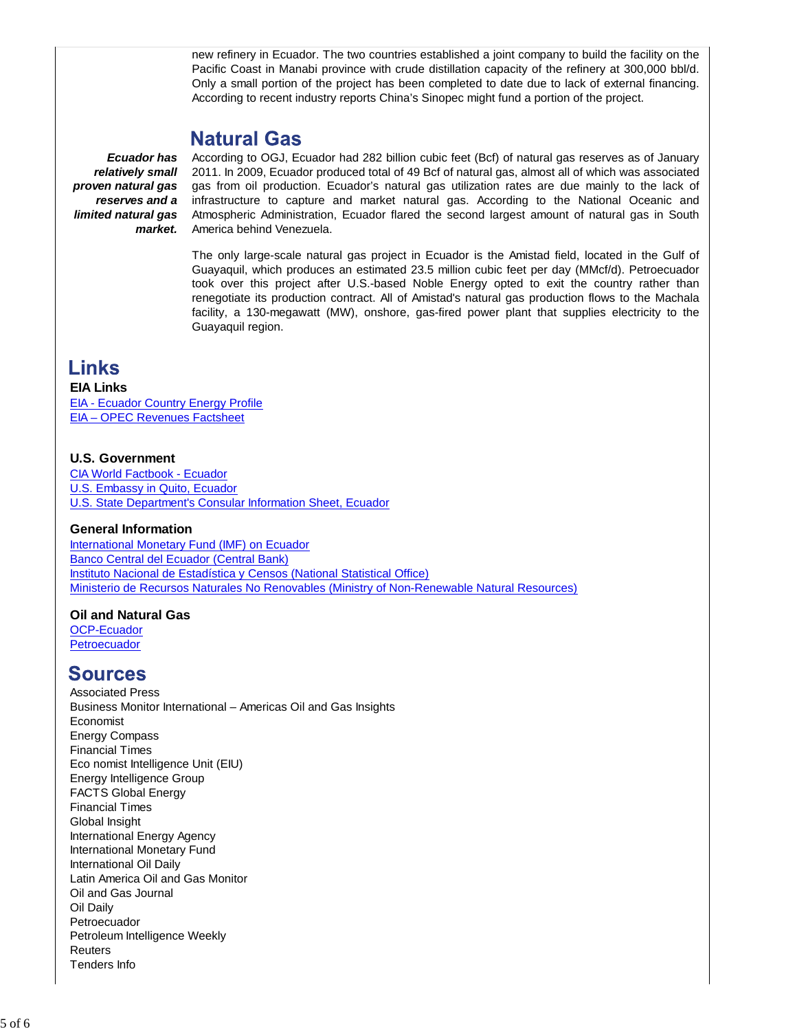new refinery in Ecuador. The two countries established a joint company to build the facility on the Pacific Coast in Manabi province with crude distillation capacity of the refinery at 300,000 bbl/d. Only a small portion of the project has been completed to date due to lack of external financing. According to recent industry reports China's Sinopec might fund a portion of the project.

### Natural Gas

*Ecuador has relatively small proven natural gas reserves and a limited natural gas market.*

According to OGJ, Ecuador had 282 billion cubic feet (Bcf) of natural gas reserves as of January 2011. In 2009, Ecuador produced total of 49 Bcf of natural gas, almost all of which was associated gas from oil production. Ecuador's natural gas utilization rates are due mainly to the lack of infrastructure to capture and market natural gas. According to the National Oceanic and Atmospheric Administration, Ecuador flared the second largest amount of natural gas in South America behind Venezuela.

The only large-scale natural gas project in Ecuador is the Amistad field, located in the Gulf of Guayaquil, which produces an estimated 23.5 million cubic feet per day (MMcf/d). Petroecuador took over this project after U.S.-based Noble Energy opted to exit the country rather than renegotiate its production contract. All of Amistad's natural gas production flows to the Machala facility, a 130-megawatt (MW), onshore, gas-fired power plant that supplies electricity to the Guayaquil region.

### **Links**

### **EIA Links**

EIA - Ecuador Country Energy Profile EIA – OPEC Revenues Factsheet

### **U.S. Government**

CIA World Factbook - Ecuador U.S. Embassy in Quito, Ecuador U.S. State Department's Consular Information Sheet, Ecuador

### **General Information**

International Monetary Fund (IMF) on Ecuador Banco Central del Ecuador (Central Bank) Instituto Nacional de Estadística y Censos (National Statistical Office) Ministerio de Recursos Naturales No Renovables (Ministry of Non-Renewable Natural Resources)

### **Oil and Natural Gas**

OCP-Ecuador **Petroecuador** 

### **Sources**

Associated Press Business Monitor International – Americas Oil and Gas Insights Economist Energy Compass Financial Times Eco nomist Intelligence Unit (EIU) Energy Intelligence Group FACTS Global Energy Financial Times Global Insight International Energy Agency International Monetary Fund International Oil Daily Latin America Oil and Gas Monitor Oil and Gas Journal Oil Daily Petroecuador Petroleum Intelligence Weekly Reuters Tenders Info